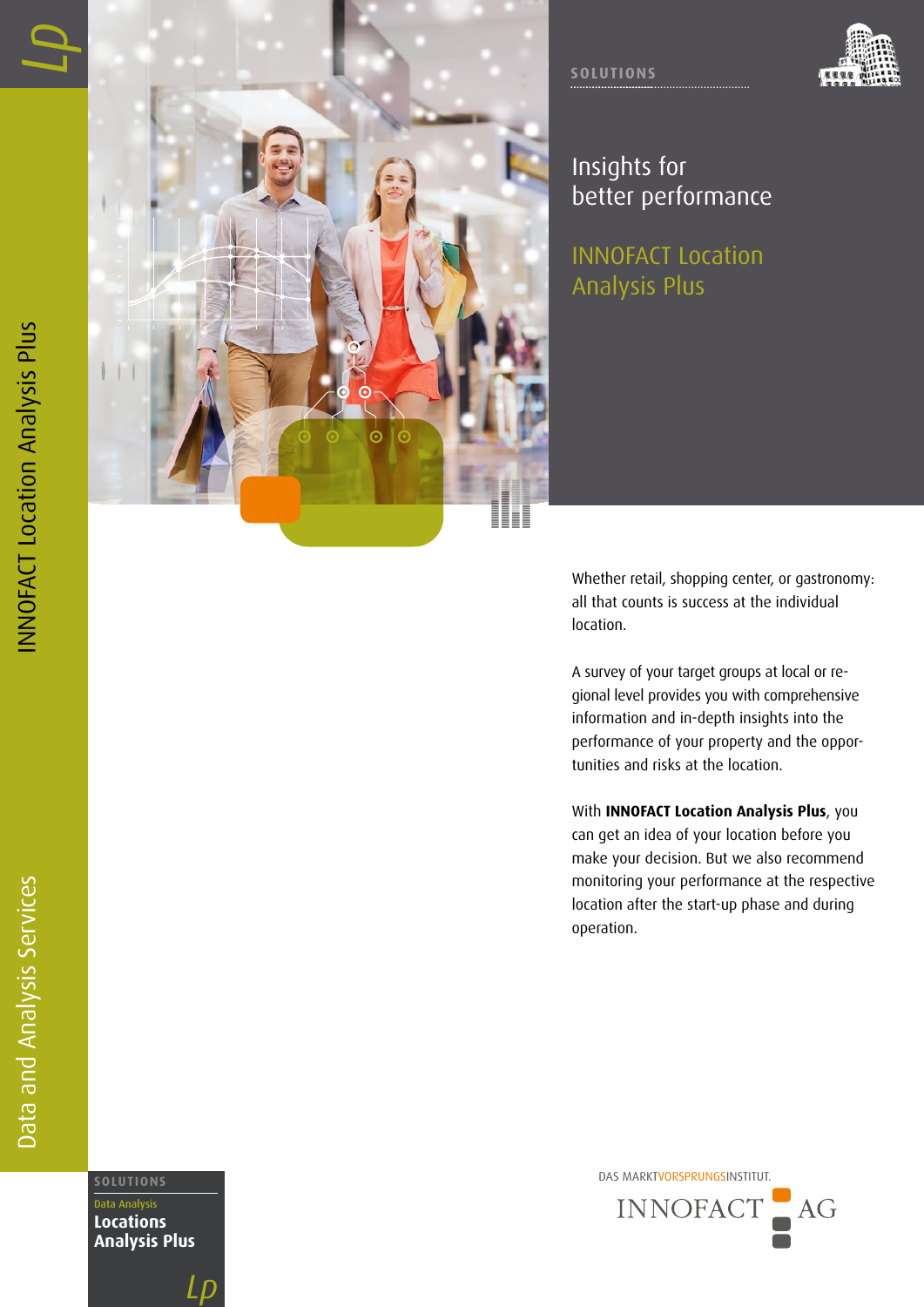Data and Analysis Services





Insights for better performance

INNOFACT Location Analysis Plus

Whether retail, shopping center, or gastronomy: all that counts is success at the individual location.

A survey of your target groups at local or re gional level provides you with comprehensive information and in-depth insights into the performance of your property and the oppor tunities and risks at the location.

With **INNOFACT Location Analysis Plus**, you can get an idea of your location before you make your decision. But we also recommend monitoring your performance at the respective location after the start-up phase and during operation.

DAS MARKTVORSPRUNGSINSTITUT. **SOLUTIONS** INNOFACT  $AG$ 

Data Analysis **Locations Analysis Plus**

*Lp*